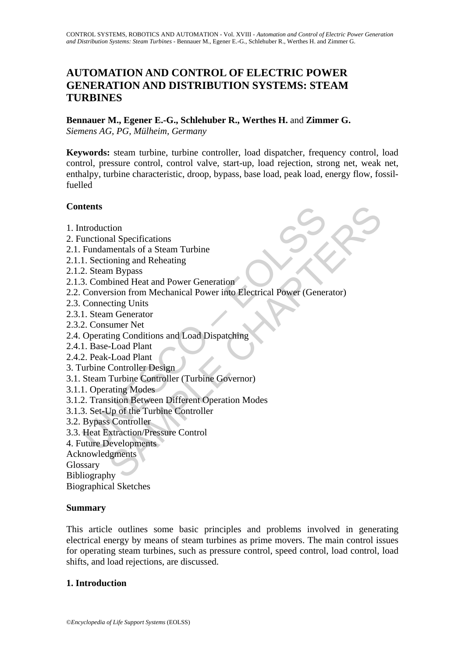# **AUTOMATION AND CONTROL OF ELECTRIC POWER GENERATION AND DISTRIBUTION SYSTEMS: STEAM TURBINES**

**Bennauer M., Egener E.-G., Schlehuber R., Werthes H.** and **Zimmer G.**  *Siemens AG, PG, Mülheim, Germany* 

**Keywords:** steam turbine, turbine controller, load dispatcher, frequency control, load control, pressure control, control valve, start-up, load rejection, strong net, weak net, enthalpy, turbine characteristic, droop, bypass, base load, peak load, energy flow, fossilfuelled

### **Contents**

- 1. Introduction
- 2. Functional Specifications
- 2.1. Fundamentals of a Steam Turbine
- 2.1.1. Sectioning and Reheating
- 2.1.2. Steam Bypass
- 2.1.3. Combined Heat and Power Generation
- ntroduction<br>
unctional Specifications<br>
Fundamentals of a Steam Turbine<br>
1. Sectioning and Reheating<br>
2. Steam Bypass<br>
2. Consumer Meet and Power Generation<br>
Conversion from Mechanical Power into Electrical Power (Gener<br>
Co tion<br>
inclus of a Steam Turbine<br>
mentals of a Steam Turbine<br>
ioning and Reheating<br>
m Bypass<br>
bined Heat and Power Generation<br>
risting Units<br>
continue The Mechanical Power into Electrical Power (Generator)<br>
sum Generator<br>
s 2.2. Conversion from Mechanical Power into Electrical Power (Generator)
- 2.3. Connecting Units
- 2.3.1. Steam Generator
- 2.3.2. Consumer Net
- 2.4. Operating Conditions and Load Dispatching
- 2.4.1. Base-Load Plant
- 2.4.2. Peak-Load Plant
- 3. Turbine Controller Design
- 3.1. Steam Turbine Controller (Turbine Governor)
- 3.1.1. Operating Modes
- 3.1.2. Transition Between Different Operation Modes
- 3.1.3. Set-Up of the Turbine Controller
- 3.2. Bypass Controller
- 3.3. Heat Extraction/Pressure Control
- 4. Future Developments
- Acknowledgments

Glossary

Bibliography

Biographical Sketches

### **Summary**

This article outlines some basic principles and problems involved in generating electrical energy by means of steam turbines as prime movers. The main control issues for operating steam turbines, such as pressure control, speed control, load control, load shifts, and load rejections, are discussed.

#### **1. Introduction**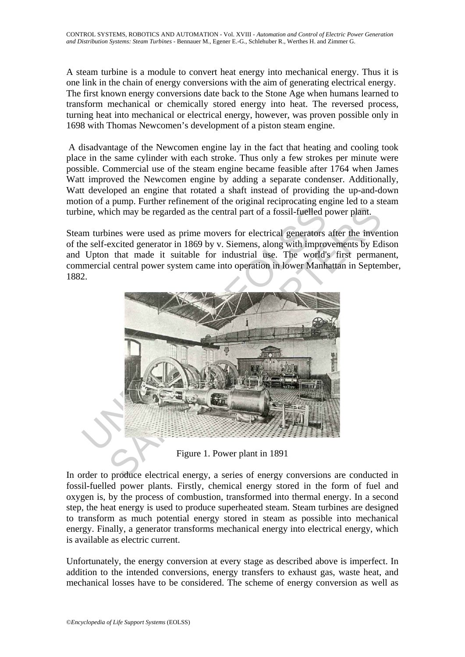A steam turbine is a module to convert heat energy into mechanical energy. Thus it is one link in the chain of energy conversions with the aim of generating electrical energy. The first known energy conversions date back to the Stone Age when humans learned to transform mechanical or chemically stored energy into heat. The reversed process, turning heat into mechanical or electrical energy, however, was proven possible only in 1698 with Thomas Newcomen's development of a piston steam engine.

 A disadvantage of the Newcomen engine lay in the fact that heating and cooling took place in the same cylinder with each stroke. Thus only a few strokes per minute were possible. Commercial use of the steam engine became feasible after 1764 when James Watt improved the Newcomen engine by adding a separate condenser. Additionally, Watt developed an engine that rotated a shaft instead of providing the up-and-down motion of a pump. Further refinement of the original reciprocating engine led to a steam turbine, which may be regarded as the central part of a fossil-fuelled power plant.

Steam turbines were used as prime movers for electrical generators after the invention of the self-excited generator in 1869 by v. Siemens, along with improvements by Edison and Upton that made it suitable for industrial use. The world's first permanent, commercial central power system came into operation in lower Manhattan in September, 1882.



Figure 1. Power plant in 1891

In order to produce electrical energy, a series of energy conversions are conducted in fossil-fuelled power plants. Firstly, chemical energy stored in the form of fuel and oxygen is, by the process of combustion, transformed into thermal energy. In a second step, the heat energy is used to produce superheated steam. Steam turbines are designed to transform as much potential energy stored in steam as possible into mechanical energy. Finally, a generator transforms mechanical energy into electrical energy, which is available as electric current.

Unfortunately, the energy conversion at every stage as described above is imperfect. In addition to the intended conversions, energy transfers to exhaust gas, waste heat, and mechanical losses have to be considered. The scheme of energy conversion as well as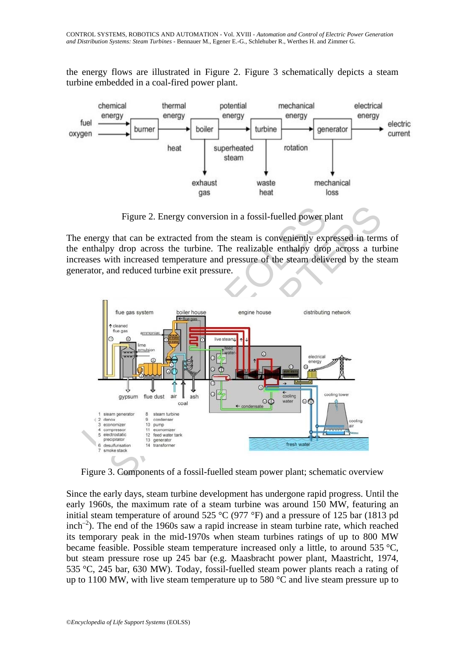the energy flows are illustrated in Figure 2. Figure 3 schematically depicts a steam turbine embedded in a coal-fired power plant.



Figure 2. Energy conversion in a fossil-fuelled power plant

The energy that can be extracted from the steam is conveniently expressed in terms of the enthalpy drop across the turbine. The realizable enthalpy drop across a turbine increases with increased temperature and pressure of the steam delivered by the steam generator, and reduced turbine exit pressure.



Figure 3. Components of a fossil-fuelled steam power plant; schematic overview

Since the early days, steam turbine development has undergone rapid progress. Until the early 1960s, the maximum rate of a steam turbine was around 150 MW, featuring an initial steam temperature of around 525 °C (977 °F) and a pressure of 125 bar (1813 pd  $inch^{-2}$ ). The end of the 1960s saw a rapid increase in steam turbine rate, which reached its temporary peak in the mid-1970s when steam turbines ratings of up to 800 MW became feasible. Possible steam temperature increased only a little, to around 535 °C, but steam pressure rose up 245 bar (e.g. Maasbracht power plant, Maastricht, 1974, 535 °C, 245 bar, 630 MW). Today, fossil-fuelled steam power plants reach a rating of up to 1100 MW, with live steam temperature up to 580  $^{\circ}$ C and live steam pressure up to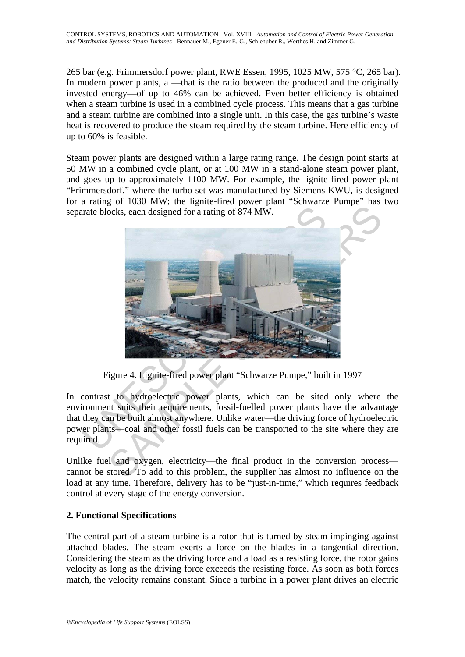265 bar (e.g. Frimmersdorf power plant, RWE Essen, 1995, 1025 MW, 575 °C, 265 bar). In modern power plants, a —that is the ratio between the produced and the originally invested energy—of up to 46% can be achieved. Even better efficiency is obtained when a steam turbine is used in a combined cycle process. This means that a gas turbine and a steam turbine are combined into a single unit. In this case, the gas turbine's waste heat is recovered to produce the steam required by the steam turbine. Here efficiency of up to 60% is feasible.

Steam power plants are designed within a large rating range. The design point starts at 50 MW in a combined cycle plant, or at 100 MW in a stand-alone steam power plant, and goes up to approximately 1100 MW. For example, the lignite-fired power plant "Frimmersdorf," where the turbo set was manufactured by Siemens KWU, is designed for a rating of 1030 MW; the lignite-fired power plant "Schwarze Pumpe" has two separate blocks, each designed for a rating of 874 MW.



Figure 4. Lignite-fired power plant "Schwarze Pumpe," built in 1997

In contrast to hydroelectric power plants, which can be sited only where the environment suits their requirements, fossil-fuelled power plants have the advantage that they can be built almost anywhere. Unlike water—the driving force of hydroelectric power plants—coal and other fossil fuels can be transported to the site where they are required.

Unlike fuel and oxygen, electricity—the final product in the conversion process cannot be stored. To add to this problem, the supplier has almost no influence on the load at any time. Therefore, delivery has to be "just-in-time," which requires feedback control at every stage of the energy conversion.

# **2. Functional Specifications**

The central part of a steam turbine is a rotor that is turned by steam impinging against attached blades. The steam exerts a force on the blades in a tangential direction. Considering the steam as the driving force and a load as a resisting force, the rotor gains velocity as long as the driving force exceeds the resisting force. As soon as both forces match, the velocity remains constant. Since a turbine in a power plant drives an electric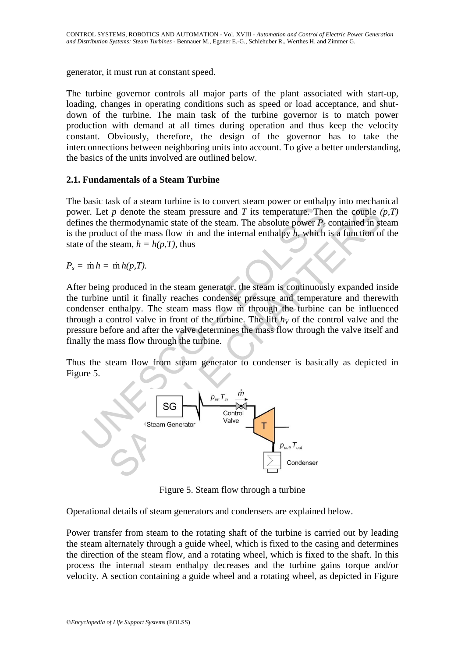generator, it must run at constant speed.

The turbine governor controls all major parts of the plant associated with start-up, loading, changes in operating conditions such as speed or load acceptance, and shutdown of the turbine. The main task of the turbine governor is to match power production with demand at all times during operation and thus keep the velocity constant. Obviously, therefore, the design of the governor has to take the interconnections between neighboring units into account. To give a better understanding, the basics of the units involved are outlined below.

### **2.1. Fundamentals of a Steam Turbine**

The basic task of a steam turbine is to convert steam power or enthalpy into mechanical power. Let *p* denote the steam pressure and *T* its temperature. Then the couple *(p,T)* defines the thermodynamic state of the steam. The absolute power  $P_s$  contained in steam is the product of the mass flow m and the internal enthalpy  $h$ , which is a function of the state of the steam,  $h = h(p, T)$ , thus

 $P_s = \dot{m} h = \dot{m} h(p,T)$ .

After being produced in the steam generator, the steam is continuously expanded inside the turbine until it finally reaches condenser pressure and temperature and therewith condenser enthalpy. The steam mass flow m through the turbine can be influenced through a control valve in front of the turbine. The lift  $h<sub>V</sub>$  of the control valve and the pressure before and after the valve determines the mass flow through the valve itself and finally the mass flow through the turbine.

Thus the steam flow from steam generator to condenser is basically as depicted in Figure 5.



Figure 5. Steam flow through a turbine

Operational details of steam generators and condensers are explained below.

Power transfer from steam to the rotating shaft of the turbine is carried out by leading the steam alternately through a guide wheel, which is fixed to the casing and determines the direction of the steam flow, and a rotating wheel, which is fixed to the shaft. In this process the internal steam enthalpy decreases and the turbine gains torque and/or velocity. A section containing a guide wheel and a rotating wheel, as depicted in Figure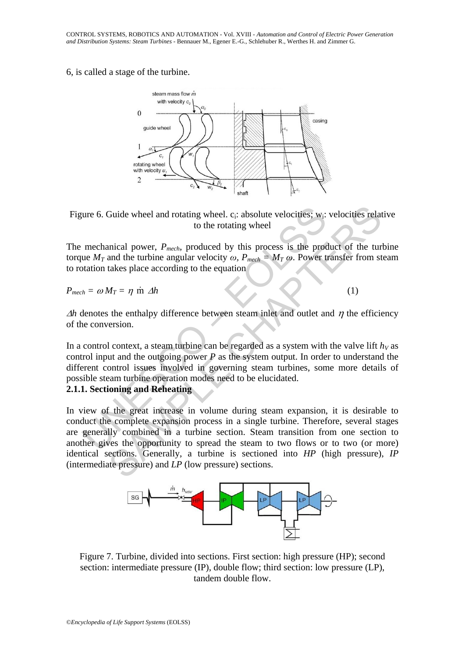#### 6, is called a stage of the turbine.



Figure 6. Guide wheel and rotating wheel.  $c_i$ : absolute velocities;  $w_i$ : velocities relative to the rotating wheel

The mechanical power, *Pmech*, produced by this process is the product of the turbine torque  $M_T$  and the turbine angular velocity  $\omega$ *, P<sub>mech</sub>* =  $M_T \omega$ *.* Power transfer from steam to rotation takes place according to the equation

 $P_{mech} = \omega M_T = \eta \text{ in } \Delta h$  (1)

 $\Delta h$  denotes the enthalpy difference between steam inlet and outlet and  $\eta$  the efficiency of the conversion.

que 6. Guide wheel and rotating wheel. c; absolute velocities; w<sub>i</sub><br>to the rotating wheel<br>mechanical power,  $P_{mech}$ , produced by this process is the proc<br>tue  $M_T$  and the turbine angular velocity  $\omega$ ,  $P_{mech} = M_T \omega$ . Power In a control context, a steam turbine can be regarded as a system with the valve lift  $h<sub>V</sub>$  as control input and the outgoing power *P* as the system output. In order to understand the different control issues involved in governing steam turbines, some more details of possible steam turbine operation modes need to be elucidated.

### **2.1.1. Sectioning and Reheating**

Guide wheel and rotating wheel. c; absolute velocities; w<sub>i</sub>: velocities relat<br>to the rotating wheel<br>anical power,  $P_{mech}$ , produced by this process is the product of the tur<br>and the turbine angular velocity  $\omega$ ,  $P_{mech} =$ In view of the great increase in volume during steam expansion, it is desirable to conduct the complete expansion process in a single turbine. Therefore, several stages are generally combined in a turbine section. Steam transition from one section to another gives the opportunity to spread the steam to two flows or to two (or more) identical sections. Generally, a turbine is sectioned into *HP* (high pressure), *IP* (intermediate pressure) and *LP* (low pressure) sections.



Figure 7. Turbine, divided into sections. First section: high pressure (HP); second section: intermediate pressure (IP), double flow; third section: low pressure (LP), tandem double flow.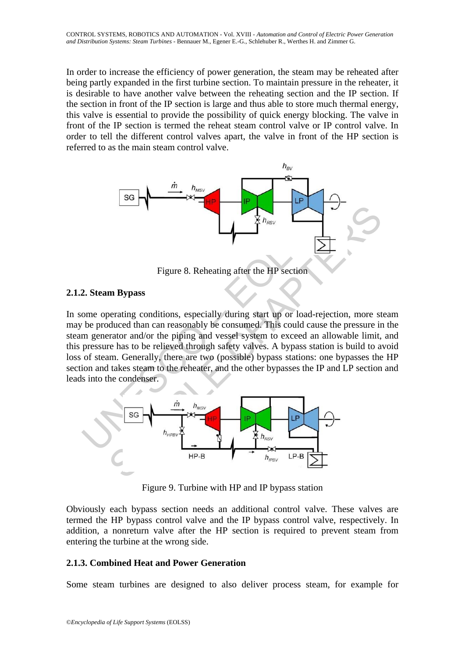In order to increase the efficiency of power generation, the steam may be reheated after being partly expanded in the first turbine section. To maintain pressure in the reheater, it is desirable to have another valve between the reheating section and the IP section. If the section in front of the IP section is large and thus able to store much thermal energy, this valve is essential to provide the possibility of quick energy blocking. The valve in front of the IP section is termed the reheat steam control valve or IP control valve. In order to tell the different control valves apart, the valve in front of the HP section is referred to as the main steam control valve.



Figure 8. Reheating after the HP section

### **2.1.2. Steam Bypass**

Figure 8. Reheating after the HP section<br>
2. Steam Bypass<br>
ome operating conditions, especially during start up or load-rejection<br>
2. Steam Bypass<br>
ome operator and/or the piping and vessel system to exceed an all<br>
pressu In some operating conditions, especially during start up or load-rejection, more steam may be produced than can reasonably be consumed. This could cause the pressure in the steam generator and/or the piping and vessel system to exceed an allowable limit, and this pressure has to be relieved through safety valves. A bypass station is build to avoid loss of steam. Generally, there are two (possible) bypass stations: one bypasses the HP section and takes steam to the reheater, and the other bypasses the IP and LP section and leads into the condenser.



Figure 9. Turbine with HP and IP bypass station

Obviously each bypass section needs an additional control valve. These valves are termed the HP bypass control valve and the IP bypass control valve, respectively. In addition, a nonreturn valve after the HP section is required to prevent steam from entering the turbine at the wrong side.

# **2.1.3. Combined Heat and Power Generation**

Some steam turbines are designed to also deliver process steam, for example for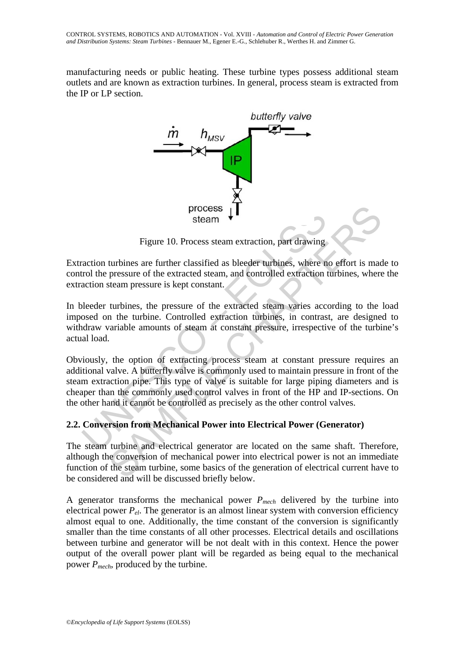manufacturing needs or public heating. These turbine types possess additional steam outlets and are known as extraction turbines. In general, process steam is extracted from the IP or LP section.



Figure 10. Process steam extraction, part drawing

Extraction turbines are further classified as bleeder turbines, where no effort is made to control the pressure of the extracted steam, and controlled extraction turbines*,* where the extraction steam pressure is kept constant.

In bleeder turbines, the pressure of the extracted steam varies according to the load imposed on the turbine. Controlled extraction turbines, in contrast, are designed to withdraw variable amounts of steam at constant pressure, irrespective of the turbine's actual load.

process steam which are the statement of the statement of the strategy and the strategy and the pressure of the extracted steam, and controlled extraction raction steam pressure is kept constant.<br>
Useder turbines, where no process  $\downarrow$ <br>
Figure 10. Process steam extraction, part drawing<br>
turbines are further classified as bleeder urbines, where no effort is made<br>
pressure of the extracted steam, and controlled extraction turbines, where<br>
it Obviously, the option of extracting process steam at constant pressure requires an additional valve. A butterfly valve is commonly used to maintain pressure in front of the steam extraction pipe. This type of valve is suitable for large piping diameters and is cheaper than the commonly used control valves in front of the HP and IP-sections. On the other hand it cannot be controlled as precisely as the other control valves.

# **2.2. Conversion from Mechanical Power into Electrical Power (Generator)**

The steam turbine and electrical generator are located on the same shaft. Therefore, although the conversion of mechanical power into electrical power is not an immediate function of the steam turbine, some basics of the generation of electrical current have to be considered and will be discussed briefly below.

A generator transforms the mechanical power *Pmech* delivered by the turbine into electrical power  $P_{el}$ . The generator is an almost linear system with conversion efficiency almost equal to one. Additionally, the time constant of the conversion is significantly smaller than the time constants of all other processes. Electrical details and oscillations between turbine and generator will be not dealt with in this context. Hence the power output of the overall power plant will be regarded as being equal to the mechanical power *Pmech*, produced by the turbine.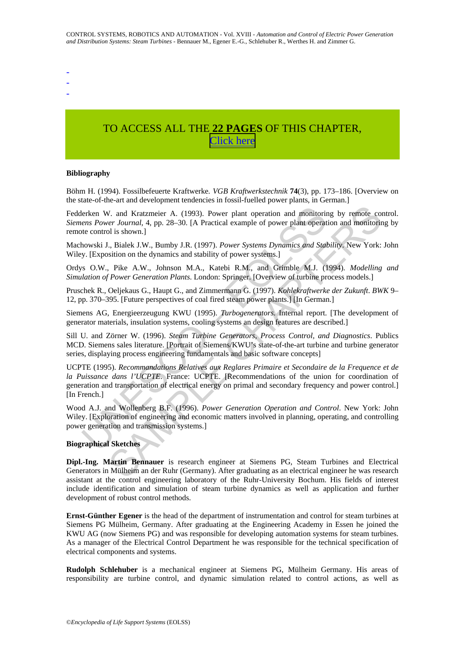-

- -

# TO ACCESS ALL THE **22 PAGES** OF THIS CHAPTER, [C](https://www.eolss.net/ebooklib/sc_cart.aspx?File=E6-43-33-03)[lick here](http://www.eolss.net/Eolss-sampleAllChapter.aspx)

#### **Bibliography**

Böhm H. (1994). Fossilbefeuerte Kraftwerke*. VGB Kraftwerkstechnik* **74**(3), pp. 173–186. [Overview on the state-of-the-art and development tendencies in fossil-fuelled power plants, in German.]

Fedderken W. and Kratzmeier A. (1993). Power plant operation and monitoring by remote control. *Siemens Power Journal*, 4, pp. 28–30. [A Practical example of power plant operation and monitoring by remote control is shown.]

Machowski J., Bialek J.W., Bumby J.R. (1997). *Power Systems Dynamics and Stability*. New York: John Wiley. [Exposition on the dynamics and stability of power systems.]

Ordys O.W., Pike A.W., Johnson M.A., Katebi R.M., and Grimble M.J. (1994). *Modelling and Simulation of Power Generation Plants*. London: Springer. [Overview of turbine process models.]

Pruschek R., Oeljekaus G., Haupt G., and Zimmermann G. (1997). *Kohlekraftwerke der Zukunft*. *BWK* 9– 12, pp. 370–395. [Future perspectives of coal fired steam power plants.] [In German.]

Siemens AG, Energieerzeugung KWU (1995). *Turbogenerators*. Internal report. [The development of generator materials, insulation systems, cooling systems an design features are described.]

Sill U. and Zörner W. (1996). *Steam Turbine Generators, Process Control, and Diagnostics*. Publics MCD. Siemens sales literature. [Portrait of Siemens/KWU's state-of-the-art turbine and turbine generator series, displaying process engineering fundamentals and basic software concepts]

erken W. and Kratzmeier A. (1993). Power plant operation and monitoriens Power Journal, 4, pp. 28–30. [A Practical example of power plant operat the control is shown.]<br>Horowski J., Bialek J.W., Bumby J.R. (1997). Power Sys V. and Kratzmeier A. (1993). Power plant operation and monitoring by remote cover Journal, 4, pp. 28–30. [A Practical example of power plant operation and monitority is shown.]<br>
in shown.]<br>
in Showns (The Sample of power UCPTE (1995). *Recommandations Relatives aux Reglares Primaire et Secondaire de la Frequence et de la Puissance dans l'UCPTE*. France: UCPTE. [Recommendations of the union for coordination of generation and transportation of electrical energy on primal and secondary frequency and power control.] [In French.]

Wood A.J. and Wollenberg B.F. (1996). *Power Generation Operation and Control*. New York: John Wiley. [Exploration of engineering and economic matters involved in planning, operating, and controlling power generation and transmission systems.]

#### **Biographical Sketches**

**Dipl.-Ing. Martin Bennauer** is research engineer at Siemens PG, Steam Turbines and Electrical Generators in Mülheim an der Ruhr (Germany). After graduating as an electrical engineer he was research assistant at the control engineering laboratory of the Ruhr-University Bochum. His fields of interest include identification and simulation of steam turbine dynamics as well as application and further development of robust control methods.

**Ernst-Günther Egener** is the head of the department of instrumentation and control for steam turbines at Siemens PG Mülheim, Germany. After graduating at the Engineering Academy in Essen he joined the KWU AG (now Siemens PG) and was responsible for developing automation systems for steam turbines. As a manager of the Electrical Control Department he was responsible for the technical specification of electrical components and systems.

**Rudolph Schlehuber** is a mechanical engineer at Siemens PG, Mülheim Germany. His areas of responsibility are turbine control, and dynamic simulation related to control actions, as well as